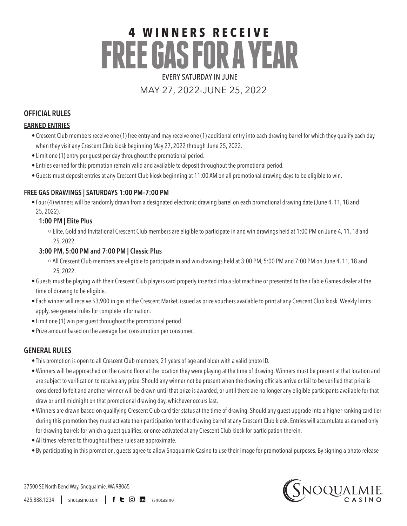# **4 W I N N E R S RECEIVE FREE GAS FOR A YEAR** EVERY SATURDAY IN JUNE

# MAY 27, 2022-JUNE 25, 2022

# **OFFICIAL RULES**

## **EARNED ENTRIES**

- Crescent Club members receive one (1) free entry and may receive one (1) additional entry into each drawing barrel for which they qualify each day when they visit any Crescent Club kiosk beginning May 27, 2022 through June 25, 2022.
- Limit one (1) entry per guest per day throughout the promotional period.
- Entries earned for this promotion remain valid and available to deposit throughout the promotional period.
- Guests must deposit entries at any Crescent Club kiosk beginning at 11:00 AM on all promotional drawing days to be eligible to win.

#### **FREE GAS DRAWINGS | SATURDAYS 1:00 PM–7:00 PM**

• Four (4) winners will be randomly drawn from a designated electronic drawing barrel on each promotional drawing date (June 4, 11, 18 and 25, 2022).

#### **1:00 PM | Elite Plus**

○ Elite, Gold and Invitational Crescent Club members are eligible to participate in and win drawings held at 1:00 PM on June 4, 11, 18 and 25, 2022.

#### **3:00 PM, 5:00 PM and 7:00 PM | Classic Plus**

- All Crescent Club members are eligible to participate in and win drawings held at 3:00 PM, 5:00 PM and 7:00 PM on June 4, 11, 18 and 25, 2022.
- Guests must be playing with their Crescent Club players card properly inserted into a slot machine or presented to their Table Games dealer at the time of drawing to be eligible.
- Each winner will receive \$3,900 in gas at the Crescent Market, issued as prize vouchers available to print at any Crescent Club kiosk. Weekly limits apply, see general rules for complete information.
- Limit one (1) win per guest throughout the promotional period.
- Prize amount based on the average fuel consumption per consumer.

## **GENERAL RULES**

- This promotion is open to all Crescent Club members, 21 years of age and older with a valid photo ID.
- • Winners will be approached on the casino floor at the location they were playing at the time of drawing.Winners must be present at that location and are subject to verification to receive any prize. Should any winner not be present when the drawing officials arrive or fail to be verified that prize is considered forfeit and another winner will be drawn until that prize is awarded, or until there are no longer any eligible participants available for that draw or until midnight on that promotional drawing day, whichever occurs last.
- • Winners are drawn based on qualifying Crescent Club card tier status at the time of drawing. Should any guest upgrade into a higher-ranking card tier during this promotion they must activate their participation for that drawing barrel at any Crescent Club kiosk. Entries will accumulate as earned only for drawing barrels for which a guest qualifies, or once activated at any Crescent Club kiosk for participation therein.
- All times referred to throughout these rules are approximate.
- • By participating in this promotion, guests agree to allow Snoqualmie Casino to use their image for promotional purposes. Bysigning a photo release

37500 SE North Bend Way, Snoqualmie, WA 98065